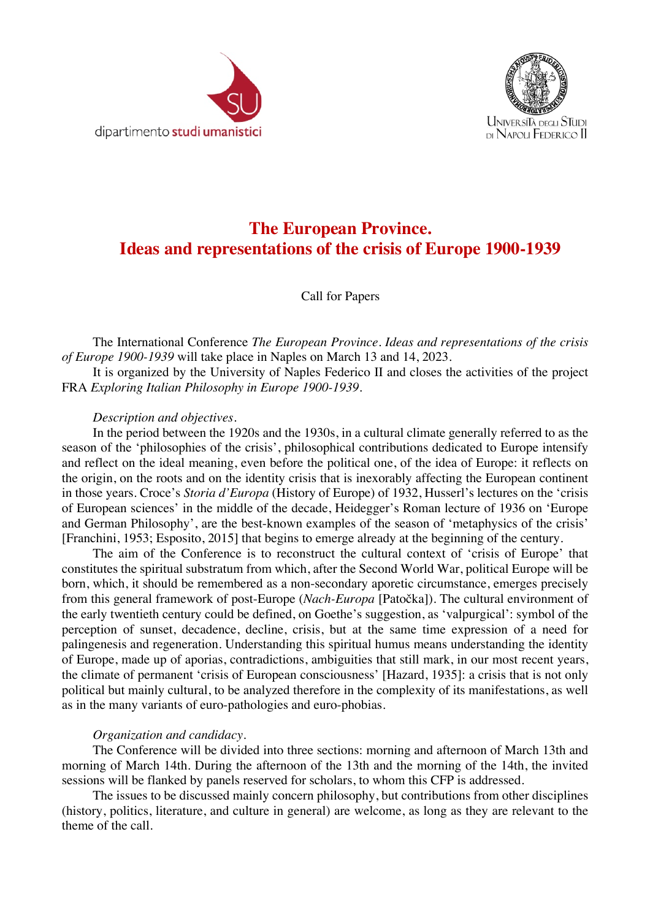



## **The European Province. Ideas and representations of the crisis of Europe 1900-1939**

## Call for Papers

The International Conference *The European Province. Ideas and representations of the crisis of Europe 1900-1939* will take place in Naples on March 13 and 14, 2023.

It is organized by the University of Naples Federico II and closes the activities of the project FRA *Exploring Italian Philosophy in Europe 1900-1939*.

## *Description and objectives.*

In the period between the 1920s and the 1930s, in a cultural climate generally referred to as the season of the 'philosophies of the crisis', philosophical contributions dedicated to Europe intensify and reflect on the ideal meaning, even before the political one, of the idea of Europe: it reflects on the origin, on the roots and on the identity crisis that is inexorably affecting the European continent in those years. Croce's *Storia d'Europa* (History of Europe) of 1932, Husserl's lectures on the 'crisis of European sciences' in the middle of the decade, Heidegger's Roman lecture of 1936 on 'Europe and German Philosophy', are the best-known examples of the season of 'metaphysics of the crisis' [Franchini, 1953; Esposito, 2015] that begins to emerge already at the beginning of the century.

The aim of the Conference is to reconstruct the cultural context of 'crisis of Europe' that constitutes the spiritual substratum from which, after the Second World War, political Europe will be born, which, it should be remembered as a non-secondary aporetic circumstance, emerges precisely from this general framework of post-Europe (*Nach-Europa* [Patočka]). The cultural environment of the early twentieth century could be defined, on Goethe's suggestion, as 'valpurgical': symbol of the perception of sunset, decadence, decline, crisis, but at the same time expression of a need for palingenesis and regeneration. Understanding this spiritual humus means understanding the identity of Europe, made up of aporias, contradictions, ambiguities that still mark, in our most recent years, the climate of permanent 'crisis of European consciousness' [Hazard, 1935]: a crisis that is not only political but mainly cultural, to be analyzed therefore in the complexity of its manifestations, as well as in the many variants of euro-pathologies and euro-phobias.

## *Organization and candidacy*.

The Conference will be divided into three sections: morning and afternoon of March 13th and morning of March 14th. During the afternoon of the 13th and the morning of the 14th, the invited sessions will be flanked by panels reserved for scholars, to whom this CFP is addressed.

The issues to be discussed mainly concern philosophy, but contributions from other disciplines (history, politics, literature, and culture in general) are welcome, as long as they are relevant to the theme of the call.